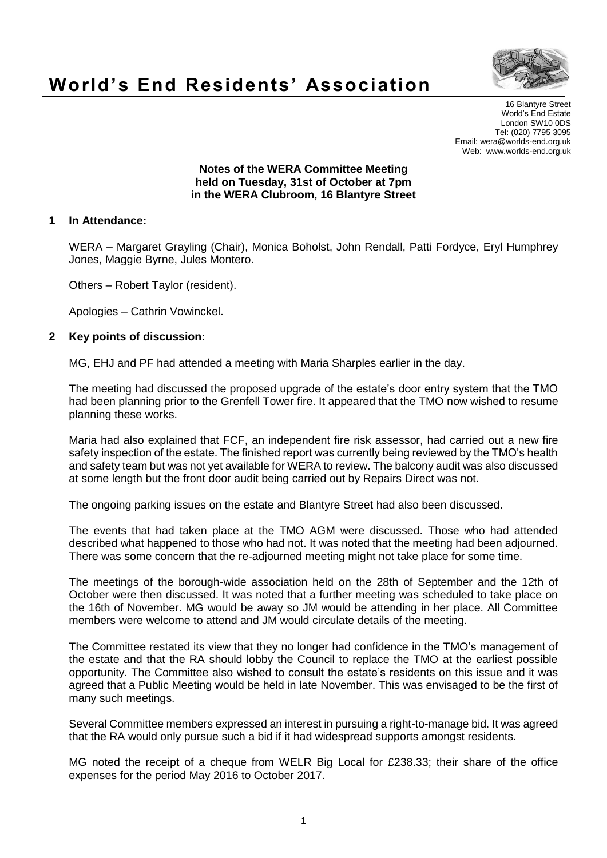

# **World's End Residents' Association**

16 Blantyre Street World's End Estate London SW10 0DS Tel: (020) 7795 3095 Email: wera@worlds-end.org.uk Web: www.worlds-end.org.uk

#### **Notes of the WERA Committee Meeting held on Tuesday, 31st of October at 7pm in the WERA Clubroom, 16 Blantyre Street**

### **1 In Attendance:**

WERA – Margaret Grayling (Chair), Monica Boholst, John Rendall, Patti Fordyce, Eryl Humphrey Jones, Maggie Byrne, Jules Montero.

Others – Robert Taylor (resident).

Apologies – Cathrin Vowinckel.

### **2 Key points of discussion:**

MG, EHJ and PF had attended a meeting with Maria Sharples earlier in the day.

The meeting had discussed the proposed upgrade of the estate's door entry system that the TMO had been planning prior to the Grenfell Tower fire. It appeared that the TMO now wished to resume planning these works.

Maria had also explained that FCF, an independent fire risk assessor, had carried out a new fire safety inspection of the estate. The finished report was currently being reviewed by the TMO's health and safety team but was not yet available for WERA to review. The balcony audit was also discussed at some length but the front door audit being carried out by Repairs Direct was not.

The ongoing parking issues on the estate and Blantyre Street had also been discussed.

The events that had taken place at the TMO AGM were discussed. Those who had attended described what happened to those who had not. It was noted that the meeting had been adjourned. There was some concern that the re-adjourned meeting might not take place for some time.

The meetings of the borough-wide association held on the 28th of September and the 12th of October were then discussed. It was noted that a further meeting was scheduled to take place on the 16th of November. MG would be away so JM would be attending in her place. All Committee members were welcome to attend and JM would circulate details of the meeting.

The Committee restated its view that they no longer had confidence in the TMO's management of the estate and that the RA should lobby the Council to replace the TMO at the earliest possible opportunity. The Committee also wished to consult the estate's residents on this issue and it was agreed that a Public Meeting would be held in late November. This was envisaged to be the first of many such meetings.

Several Committee members expressed an interest in pursuing a right-to-manage bid. It was agreed that the RA would only pursue such a bid if it had widespread supports amongst residents.

MG noted the receipt of a cheque from WELR Big Local for £238.33; their share of the office expenses for the period May 2016 to October 2017.